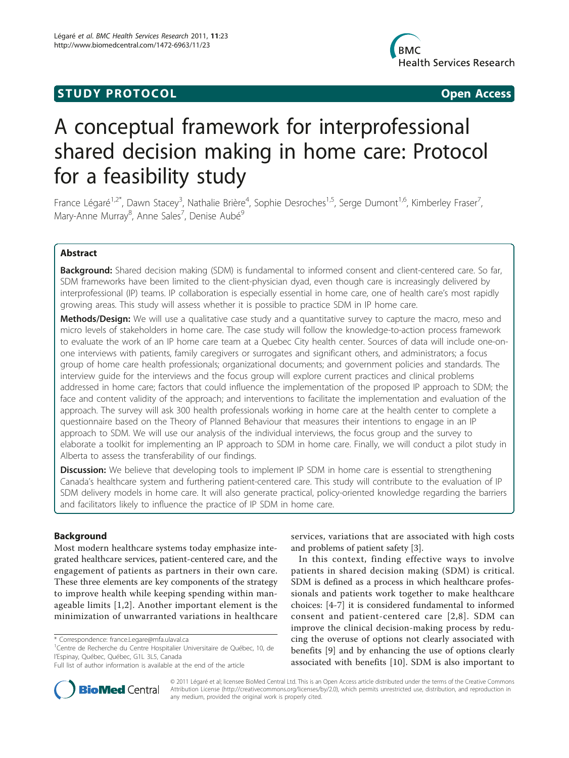## **STUDY PROTOCOL** And the state of the state of the state of the state of the state of the state of the state of the state of the state of the state of the state of the state of the state of the state of the state of the st



# A conceptual framework for interprofessional shared decision making in home care: Protocol for a feasibility study

France Légaré<sup>1,2\*</sup>, Dawn Stacey<sup>3</sup>, Nathalie Brière<sup>4</sup>, Sophie Desroches<sup>1,5</sup>, Serge Dumont<sup>1,6</sup>, Kimberley Fraser<sup>7</sup> , Mary-Anne Murray<sup>8</sup>, Anne Sales<sup>7</sup>, Denise Aubé<sup>9</sup>

## Abstract

**Background:** Shared decision making (SDM) is fundamental to informed consent and client-centered care. So far, SDM frameworks have been limited to the client-physician dyad, even though care is increasingly delivered by interprofessional (IP) teams. IP collaboration is especially essential in home care, one of health care's most rapidly growing areas. This study will assess whether it is possible to practice SDM in IP home care.

Methods/Design: We will use a qualitative case study and a quantitative survey to capture the macro, meso and micro levels of stakeholders in home care. The case study will follow the knowledge-to-action process framework to evaluate the work of an IP home care team at a Quebec City health center. Sources of data will include one-onone interviews with patients, family caregivers or surrogates and significant others, and administrators; a focus group of home care health professionals; organizational documents; and government policies and standards. The interview guide for the interviews and the focus group will explore current practices and clinical problems addressed in home care; factors that could influence the implementation of the proposed IP approach to SDM; the face and content validity of the approach; and interventions to facilitate the implementation and evaluation of the approach. The survey will ask 300 health professionals working in home care at the health center to complete a questionnaire based on the Theory of Planned Behaviour that measures their intentions to engage in an IP approach to SDM. We will use our analysis of the individual interviews, the focus group and the survey to elaborate a toolkit for implementing an IP approach to SDM in home care. Finally, we will conduct a pilot study in Alberta to assess the transferability of our findings.

**Discussion:** We believe that developing tools to implement IP SDM in home care is essential to strengthening Canada's healthcare system and furthering patient-centered care. This study will contribute to the evaluation of IP SDM delivery models in home care. It will also generate practical, policy-oriented knowledge regarding the barriers and facilitators likely to influence the practice of IP SDM in home care.

## Background

Most modern healthcare systems today emphasize integrated healthcare services, patient-centered care, and the engagement of patients as partners in their own care. These three elements are key components of the strategy to improve health while keeping spending within manageable limits [[1,2](#page-5-0)]. Another important element is the minimization of unwarranted variations in healthcare



In this context, finding effective ways to involve patients in shared decision making (SDM) is critical. SDM is defined as a process in which healthcare professionals and patients work together to make healthcare choices: [\[4](#page-5-0)-[7](#page-6-0)] it is considered fundamental to informed consent and patient-centered care [[2](#page-5-0),[8](#page-6-0)]. SDM can improve the clinical decision-making process by reducing the overuse of options not clearly associated with benefits [[9\]](#page-6-0) and by enhancing the use of options clearly associated with benefits [\[10](#page-6-0)]. SDM is also important to



© 2011 Légaré et al; licensee BioMed Central Ltd. This is an Open Access article distributed under the terms of the Creative Commons Attribution License [\(http://creativecommons.org/licenses/by/2.0](http://creativecommons.org/licenses/by/2.0)), which permits unrestricted use, distribution, and reproduction in any medium, provided the original work is properly cited.

<sup>\*</sup> Correspondence: [france.Legare@mfa.ulaval.ca](mailto:france.Legare@mfa.ulaval.ca)

<sup>&</sup>lt;sup>1</sup>Centre de Recherche du Centre Hospitalier Universitaire de Québec, 10, de l'Espinay, Québec, Québec, G1L 3L5, Canada

Full list of author information is available at the end of the article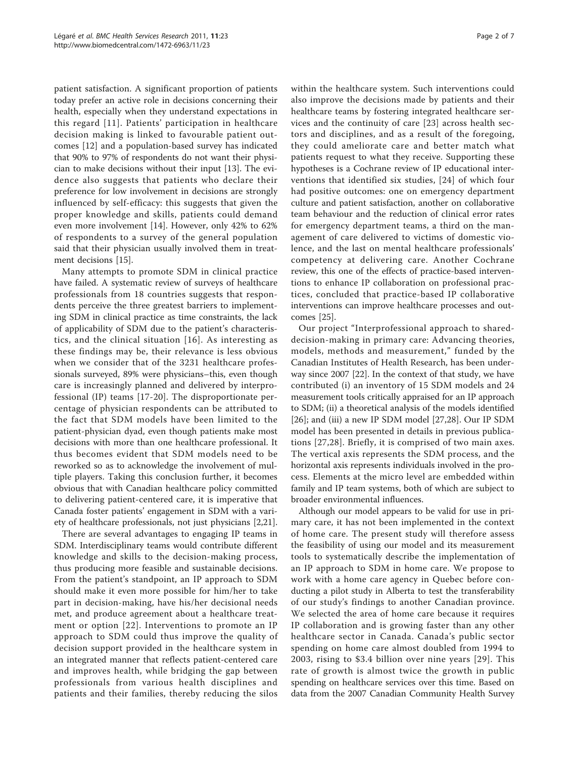patient satisfaction. A significant proportion of patients today prefer an active role in decisions concerning their health, especially when they understand expectations in this regard [[11](#page-6-0)]. Patients' participation in healthcare decision making is linked to favourable patient outcomes [\[12](#page-6-0)] and a population-based survey has indicated that 90% to 97% of respondents do not want their physician to make decisions without their input [[13\]](#page-6-0). The evidence also suggests that patients who declare their preference for low involvement in decisions are strongly influenced by self-efficacy: this suggests that given the proper knowledge and skills, patients could demand even more involvement [[14](#page-6-0)]. However, only 42% to 62% of respondents to a survey of the general population said that their physician usually involved them in treatment decisions [\[15](#page-6-0)].

Many attempts to promote SDM in clinical practice have failed. A systematic review of surveys of healthcare professionals from 18 countries suggests that respondents perceive the three greatest barriers to implementing SDM in clinical practice as time constraints, the lack of applicability of SDM due to the patient's characteristics, and the clinical situation [[16\]](#page-6-0). As interesting as these findings may be, their relevance is less obvious when we consider that of the 3231 healthcare professionals surveyed, 89% were physicians–this, even though care is increasingly planned and delivered by interprofessional (IP) teams [[17-20\]](#page-6-0). The disproportionate percentage of physician respondents can be attributed to the fact that SDM models have been limited to the patient-physician dyad, even though patients make most decisions with more than one healthcare professional. It thus becomes evident that SDM models need to be reworked so as to acknowledge the involvement of multiple players. Taking this conclusion further, it becomes obvious that with Canadian healthcare policy committed to delivering patient-centered care, it is imperative that Canada foster patients' engagement in SDM with a variety of healthcare professionals, not just physicians [\[2](#page-5-0),[21](#page-6-0)].

There are several advantages to engaging IP teams in SDM. Interdisciplinary teams would contribute different knowledge and skills to the decision-making process, thus producing more feasible and sustainable decisions. From the patient's standpoint, an IP approach to SDM should make it even more possible for him/her to take part in decision-making, have his/her decisional needs met, and produce agreement about a healthcare treatment or option [[22](#page-6-0)]. Interventions to promote an IP approach to SDM could thus improve the quality of decision support provided in the healthcare system in an integrated manner that reflects patient-centered care and improves health, while bridging the gap between professionals from various health disciplines and patients and their families, thereby reducing the silos within the healthcare system. Such interventions could also improve the decisions made by patients and their healthcare teams by fostering integrated healthcare services and the continuity of care [\[23](#page-6-0)] across health sectors and disciplines, and as a result of the foregoing, they could ameliorate care and better match what patients request to what they receive. Supporting these hypotheses is a Cochrane review of IP educational interventions that identified six studies, [[24](#page-6-0)] of which four had positive outcomes: one on emergency department culture and patient satisfaction, another on collaborative team behaviour and the reduction of clinical error rates for emergency department teams, a third on the management of care delivered to victims of domestic violence, and the last on mental healthcare professionals' competency at delivering care. Another Cochrane review, this one of the effects of practice-based interventions to enhance IP collaboration on professional practices, concluded that practice-based IP collaborative interventions can improve healthcare processes and outcomes [[25\]](#page-6-0).

Our project "Interprofessional approach to shareddecision-making in primary care: Advancing theories, models, methods and measurement," funded by the Canadian Institutes of Health Research, has been underway since 2007 [[22\]](#page-6-0). In the context of that study, we have contributed (i) an inventory of 15 SDM models and 24 measurement tools critically appraised for an IP approach to SDM; (ii) a theoretical analysis of the models identified [[26\]](#page-6-0); and (iii) a new IP SDM model [[27,28\]](#page-6-0). Our IP SDM model has been presented in details in previous publications [\[27](#page-6-0),[28](#page-6-0)]. Briefly, it is comprised of two main axes. The vertical axis represents the SDM process, and the horizontal axis represents individuals involved in the process. Elements at the micro level are embedded within family and IP team systems, both of which are subject to broader environmental influences.

Although our model appears to be valid for use in primary care, it has not been implemented in the context of home care. The present study will therefore assess the feasibility of using our model and its measurement tools to systematically describe the implementation of an IP approach to SDM in home care. We propose to work with a home care agency in Quebec before conducting a pilot study in Alberta to test the transferability of our study's findings to another Canadian province. We selected the area of home care because it requires IP collaboration and is growing faster than any other healthcare sector in Canada. Canada's public sector spending on home care almost doubled from 1994 to 2003, rising to \$3.4 billion over nine years [[29](#page-6-0)]. This rate of growth is almost twice the growth in public spending on healthcare services over this time. Based on data from the 2007 Canadian Community Health Survey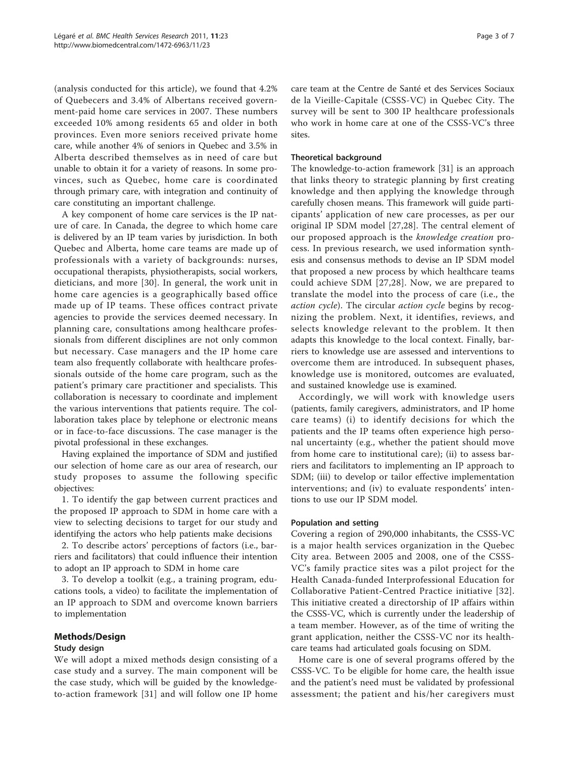(analysis conducted for this article), we found that 4.2% of Quebecers and 3.4% of Albertans received government-paid home care services in 2007. These numbers exceeded 10% among residents 65 and older in both provinces. Even more seniors received private home care, while another 4% of seniors in Quebec and 3.5% in Alberta described themselves as in need of care but unable to obtain it for a variety of reasons. In some provinces, such as Quebec, home care is coordinated through primary care, with integration and continuity of care constituting an important challenge.

A key component of home care services is the IP nature of care. In Canada, the degree to which home care is delivered by an IP team varies by jurisdiction. In both Quebec and Alberta, home care teams are made up of professionals with a variety of backgrounds: nurses, occupational therapists, physiotherapists, social workers, dieticians, and more [[30](#page-6-0)]. In general, the work unit in home care agencies is a geographically based office made up of IP teams. These offices contract private agencies to provide the services deemed necessary. In planning care, consultations among healthcare professionals from different disciplines are not only common but necessary. Case managers and the IP home care team also frequently collaborate with healthcare professionals outside of the home care program, such as the patient's primary care practitioner and specialists. This collaboration is necessary to coordinate and implement the various interventions that patients require. The collaboration takes place by telephone or electronic means or in face-to-face discussions. The case manager is the pivotal professional in these exchanges.

Having explained the importance of SDM and justified our selection of home care as our area of research, our study proposes to assume the following specific objectives:

1. To identify the gap between current practices and the proposed IP approach to SDM in home care with a view to selecting decisions to target for our study and identifying the actors who help patients make decisions

2. To describe actors' perceptions of factors (i.e., barriers and facilitators) that could influence their intention to adopt an IP approach to SDM in home care

3. To develop a toolkit (e.g., a training program, educations tools, a video) to facilitate the implementation of an IP approach to SDM and overcome known barriers to implementation

## Methods/Design

## Study design

We will adopt a mixed methods design consisting of a case study and a survey. The main component will be the case study, which will be guided by the knowledgeto-action framework [[31](#page-6-0)] and will follow one IP home care team at the Centre de Santé et des Services Sociaux de la Vieille-Capitale (CSSS-VC) in Quebec City. The survey will be sent to 300 IP healthcare professionals who work in home care at one of the CSSS-VC's three sites.

## Theoretical background

The knowledge-to-action framework [[31\]](#page-6-0) is an approach that links theory to strategic planning by first creating knowledge and then applying the knowledge through carefully chosen means. This framework will guide participants' application of new care processes, as per our original IP SDM model [\[27](#page-6-0),[28\]](#page-6-0). The central element of our proposed approach is the knowledge creation process. In previous research, we used information synthesis and consensus methods to devise an IP SDM model that proposed a new process by which healthcare teams could achieve SDM [[27](#page-6-0),[28](#page-6-0)]. Now, we are prepared to translate the model into the process of care (i.e., the action cycle). The circular action cycle begins by recognizing the problem. Next, it identifies, reviews, and selects knowledge relevant to the problem. It then adapts this knowledge to the local context. Finally, barriers to knowledge use are assessed and interventions to overcome them are introduced. In subsequent phases, knowledge use is monitored, outcomes are evaluated, and sustained knowledge use is examined.

Accordingly, we will work with knowledge users (patients, family caregivers, administrators, and IP home care teams) (i) to identify decisions for which the patients and the IP teams often experience high personal uncertainty (e.g., whether the patient should move from home care to institutional care); (ii) to assess barriers and facilitators to implementing an IP approach to SDM; (iii) to develop or tailor effective implementation interventions; and (iv) to evaluate respondents' intentions to use our IP SDM model.

## Population and setting

Covering a region of 290,000 inhabitants, the CSSS-VC is a major health services organization in the Quebec City area. Between 2005 and 2008, one of the CSSS-VC's family practice sites was a pilot project for the Health Canada-funded Interprofessional Education for Collaborative Patient-Centred Practice initiative [[32](#page-6-0)]. This initiative created a directorship of IP affairs within the CSSS-VC, which is currently under the leadership of a team member. However, as of the time of writing the grant application, neither the CSSS-VC nor its healthcare teams had articulated goals focusing on SDM.

Home care is one of several programs offered by the CSSS-VC. To be eligible for home care, the health issue and the patient's need must be validated by professional assessment; the patient and his/her caregivers must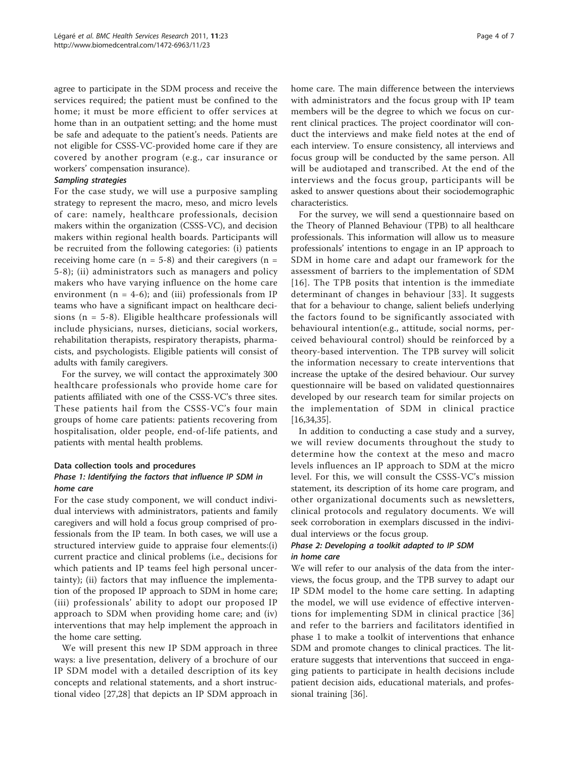agree to participate in the SDM process and receive the services required; the patient must be confined to the home; it must be more efficient to offer services at home than in an outpatient setting; and the home must be safe and adequate to the patient's needs. Patients are not eligible for CSSS-VC-provided home care if they are covered by another program (e.g., car insurance or workers' compensation insurance).

## Sampling strategies

For the case study, we will use a purposive sampling strategy to represent the macro, meso, and micro levels of care: namely, healthcare professionals, decision makers within the organization (CSSS-VC), and decision makers within regional health boards. Participants will be recruited from the following categories: (i) patients receiving home care ( $n = 5-8$ ) and their caregivers ( $n =$ 5-8); (ii) administrators such as managers and policy makers who have varying influence on the home care environment ( $n = 4-6$ ); and (iii) professionals from IP teams who have a significant impact on healthcare decisions (n = 5-8). Eligible healthcare professionals will include physicians, nurses, dieticians, social workers, rehabilitation therapists, respiratory therapists, pharmacists, and psychologists. Eligible patients will consist of adults with family caregivers.

For the survey, we will contact the approximately 300 healthcare professionals who provide home care for patients affiliated with one of the CSSS-VC's three sites. These patients hail from the CSSS-VC's four main groups of home care patients: patients recovering from hospitalisation, older people, end-of-life patients, and patients with mental health problems.

## Data collection tools and procedures

## Phase 1: Identifying the factors that influence IP SDM in home care

For the case study component, we will conduct individual interviews with administrators, patients and family caregivers and will hold a focus group comprised of professionals from the IP team. In both cases, we will use a structured interview guide to appraise four elements:(i) current practice and clinical problems (i.e., decisions for which patients and IP teams feel high personal uncertainty); (ii) factors that may influence the implementation of the proposed IP approach to SDM in home care; (iii) professionals' ability to adopt our proposed IP approach to SDM when providing home care; and (iv) interventions that may help implement the approach in the home care setting.

We will present this new IP SDM approach in three ways: a live presentation, delivery of a brochure of our IP SDM model with a detailed description of its key concepts and relational statements, and a short instructional video [[27](#page-6-0),[28\]](#page-6-0) that depicts an IP SDM approach in home care. The main difference between the interviews with administrators and the focus group with IP team members will be the degree to which we focus on current clinical practices. The project coordinator will conduct the interviews and make field notes at the end of each interview. To ensure consistency, all interviews and focus group will be conducted by the same person. All will be audiotaped and transcribed. At the end of the interviews and the focus group, participants will be asked to answer questions about their sociodemographic characteristics.

For the survey, we will send a questionnaire based on the Theory of Planned Behaviour (TPB) to all healthcare professionals. This information will allow us to measure professionals' intentions to engage in an IP approach to SDM in home care and adapt our framework for the assessment of barriers to the implementation of SDM [[16\]](#page-6-0). The TPB posits that intention is the immediate determinant of changes in behaviour [[33](#page-6-0)]. It suggests that for a behaviour to change, salient beliefs underlying the factors found to be significantly associated with behavioural intention(e.g., attitude, social norms, perceived behavioural control) should be reinforced by a theory-based intervention. The TPB survey will solicit the information necessary to create interventions that increase the uptake of the desired behaviour. Our survey questionnaire will be based on validated questionnaires developed by our research team for similar projects on the implementation of SDM in clinical practice [[16,34,35](#page-6-0)].

In addition to conducting a case study and a survey, we will review documents throughout the study to determine how the context at the meso and macro levels influences an IP approach to SDM at the micro level. For this, we will consult the CSSS-VC's mission statement, its description of its home care program, and other organizational documents such as newsletters, clinical protocols and regulatory documents. We will seek corroboration in exemplars discussed in the individual interviews or the focus group.

## Phase 2: Developing a toolkit adapted to IP SDM in home care

We will refer to our analysis of the data from the interviews, the focus group, and the TPB survey to adapt our IP SDM model to the home care setting. In adapting the model, we will use evidence of effective interventions for implementing SDM in clinical practice [[36](#page-6-0)] and refer to the barriers and facilitators identified in phase 1 to make a toolkit of interventions that enhance SDM and promote changes to clinical practices. The literature suggests that interventions that succeed in engaging patients to participate in health decisions include patient decision aids, educational materials, and professional training [[36\]](#page-6-0).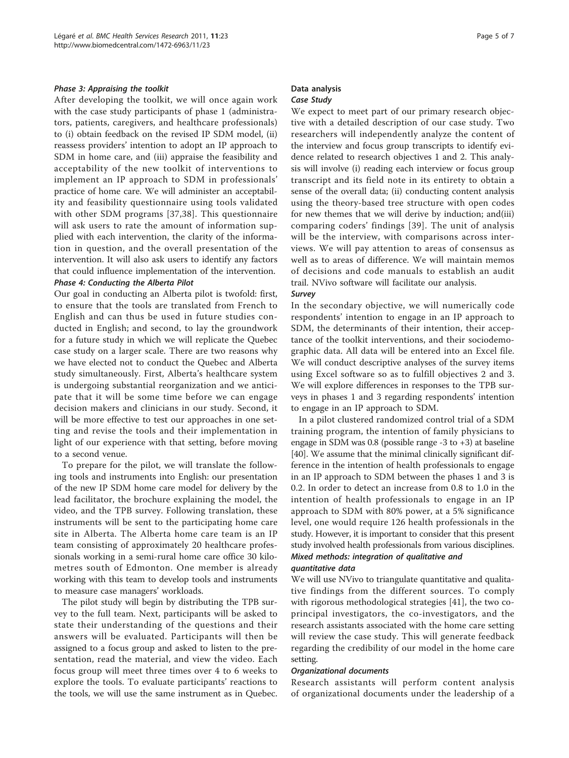#### Phase 3: Appraising the toolkit

After developing the toolkit, we will once again work with the case study participants of phase 1 (administrators, patients, caregivers, and healthcare professionals) to (i) obtain feedback on the revised IP SDM model, (ii) reassess providers' intention to adopt an IP approach to SDM in home care, and (iii) appraise the feasibility and acceptability of the new toolkit of interventions to implement an IP approach to SDM in professionals' practice of home care. We will administer an acceptability and feasibility questionnaire using tools validated with other SDM programs [[37](#page-6-0),[38\]](#page-6-0). This questionnaire will ask users to rate the amount of information supplied with each intervention, the clarity of the information in question, and the overall presentation of the intervention. It will also ask users to identify any factors that could influence implementation of the intervention. Phase 4: Conducting the Alberta Pilot

Our goal in conducting an Alberta pilot is twofold: first, to ensure that the tools are translated from French to English and can thus be used in future studies conducted in English; and second, to lay the groundwork for a future study in which we will replicate the Quebec case study on a larger scale. There are two reasons why we have elected not to conduct the Quebec and Alberta study simultaneously. First, Alberta's healthcare system is undergoing substantial reorganization and we anticipate that it will be some time before we can engage decision makers and clinicians in our study. Second, it will be more effective to test our approaches in one setting and revise the tools and their implementation in light of our experience with that setting, before moving to a second venue.

To prepare for the pilot, we will translate the following tools and instruments into English: our presentation of the new IP SDM home care model for delivery by the lead facilitator, the brochure explaining the model, the video, and the TPB survey. Following translation, these instruments will be sent to the participating home care site in Alberta. The Alberta home care team is an IP team consisting of approximately 20 healthcare professionals working in a semi-rural home care office 30 kilometres south of Edmonton. One member is already working with this team to develop tools and instruments to measure case managers' workloads.

The pilot study will begin by distributing the TPB survey to the full team. Next, participants will be asked to state their understanding of the questions and their answers will be evaluated. Participants will then be assigned to a focus group and asked to listen to the presentation, read the material, and view the video. Each focus group will meet three times over 4 to 6 weeks to explore the tools. To evaluate participants' reactions to the tools, we will use the same instrument as in Quebec.

## Data analysis Case Study

We expect to meet part of our primary research objective with a detailed description of our case study. Two researchers will independently analyze the content of the interview and focus group transcripts to identify evidence related to research objectives 1 and 2. This analysis will involve (i) reading each interview or focus group transcript and its field note in its entirety to obtain a sense of the overall data; (ii) conducting content analysis using the theory-based tree structure with open codes for new themes that we will derive by induction; and(iii) comparing coders' findings [[39](#page-6-0)]. The unit of analysis will be the interview, with comparisons across interviews. We will pay attention to areas of consensus as well as to areas of difference. We will maintain memos of decisions and code manuals to establish an audit trail. NVivo software will facilitate our analysis.

## Survey

In the secondary objective, we will numerically code respondents' intention to engage in an IP approach to SDM, the determinants of their intention, their acceptance of the toolkit interventions, and their sociodemographic data. All data will be entered into an Excel file. We will conduct descriptive analyses of the survey items using Excel software so as to fulfill objectives 2 and 3. We will explore differences in responses to the TPB surveys in phases 1 and 3 regarding respondents' intention to engage in an IP approach to SDM.

In a pilot clustered randomized control trial of a SDM training program, the intention of family physicians to engage in SDM was 0.8 (possible range -3 to +3) at baseline [[40](#page-6-0)]. We assume that the minimal clinically significant difference in the intention of health professionals to engage in an IP approach to SDM between the phases 1 and 3 is 0.2. In order to detect an increase from 0.8 to 1.0 in the intention of health professionals to engage in an IP approach to SDM with 80% power, at a 5% significance level, one would require 126 health professionals in the study. However, it is important to consider that this present study involved health professionals from various disciplines. Mixed methods: integration of qualitative and

## quantitative data

We will use NVivo to triangulate quantitative and qualitative findings from the different sources. To comply with rigorous methodological strategies [\[41](#page-6-0)], the two coprincipal investigators, the co-investigators, and the research assistants associated with the home care setting will review the case study. This will generate feedback regarding the credibility of our model in the home care setting.

#### Organizational documents

Research assistants will perform content analysis of organizational documents under the leadership of a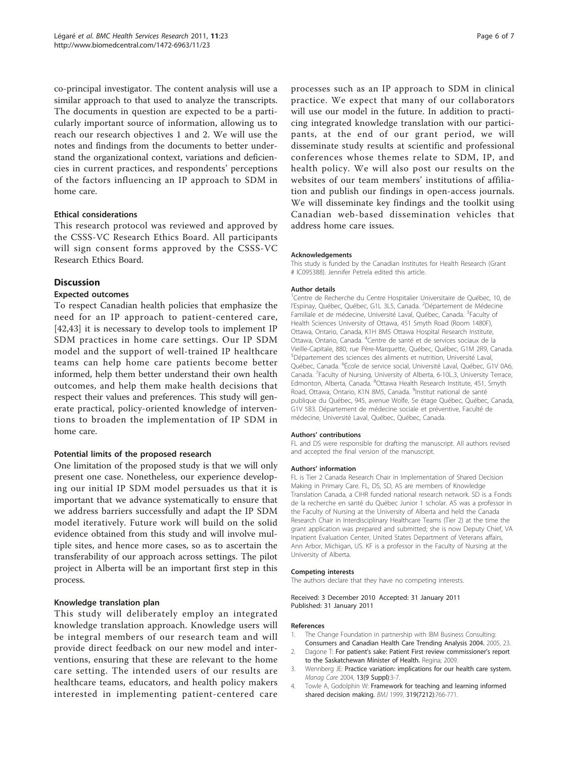<span id="page-5-0"></span>co-principal investigator. The content analysis will use a similar approach to that used to analyze the transcripts. The documents in question are expected to be a particularly important source of information, allowing us to reach our research objectives 1 and 2. We will use the notes and findings from the documents to better understand the organizational context, variations and deficiencies in current practices, and respondents' perceptions of the factors influencing an IP approach to SDM in home care.

## Ethical considerations

This research protocol was reviewed and approved by the CSSS-VC Research Ethics Board. All participants will sign consent forms approved by the CSSS-VC Research Ethics Board.

## **Discussion**

## Expected outcomes

To respect Canadian health policies that emphasize the need for an IP approach to patient-centered care, [[42,43](#page-6-0)] it is necessary to develop tools to implement IP SDM practices in home care settings. Our IP SDM model and the support of well-trained IP healthcare teams can help home care patients become better informed, help them better understand their own health outcomes, and help them make health decisions that respect their values and preferences. This study will generate practical, policy-oriented knowledge of interventions to broaden the implementation of IP SDM in home care.

## Potential limits of the proposed research

One limitation of the proposed study is that we will only present one case. Nonetheless, our experience developing our initial IP SDM model persuades us that it is important that we advance systematically to ensure that we address barriers successfully and adapt the IP SDM model iteratively. Future work will build on the solid evidence obtained from this study and will involve multiple sites, and hence more cases, so as to ascertain the transferability of our approach across settings. The pilot project in Alberta will be an important first step in this process.

#### Knowledge translation plan

This study will deliberately employ an integrated knowledge translation approach. Knowledge users will be integral members of our research team and will provide direct feedback on our new model and interventions, ensuring that these are relevant to the home care setting. The intended users of our results are healthcare teams, educators, and health policy makers interested in implementing patient-centered care

processes such as an IP approach to SDM in clinical practice. We expect that many of our collaborators will use our model in the future. In addition to practicing integrated knowledge translation with our participants, at the end of our grant period, we will disseminate study results at scientific and professional conferences whose themes relate to SDM, IP, and health policy. We will also post our results on the websites of our team members' institutions of affiliation and publish our findings in open-access journals. We will disseminate key findings and the toolkit using Canadian web-based dissemination vehicles that address home care issues.

#### Acknowledgements

This study is funded by the Canadian Institutes for Health Research (Grant # IC095388). Jennifer Petrela edited this article.

#### Author details

<sup>1</sup>Centre de Recherche du Centre Hospitalier Universitaire de Québec, 10, de l'Espinay, Québec, Québec, G1L 3L5, Canada. <sup>2</sup>Département de Médecine Familiale et de médecine, Université Laval, Québec, Canada. <sup>3</sup>Faculty of Health Sciences University of Ottawa, 451 Smyth Road (Room 1480F), Ottawa, Ontario, Canada, K1H 8M5 Ottawa Hospital Research Institute, Ottawa, Ontario, Canada. <sup>4</sup>Centre de santé et de services sociaux de la Vieille-Capitale, 880, rue Père-Marquette, Québec, Québec, G1M 2R9, Canada. 5 Département des sciences des aliments et nutrition, Université Laval, Québec, Canada. <sup>6</sup>École de service social, Université Laval, Québec, G1V 0A6 Canada. <sup>7</sup> Faculty of Nursing, University of Alberta, 6-10L.3, University Terrace Edmonton, Alberta, Canada. <sup>8</sup>Ottawa Health Research Institute, 451, Smyth Road, Ottawa, Ontario, K1N 8M5, Canada. <sup>9</sup>Institut national de santé publique du Québec, 945, avenue Wolfe, 5e étage Québec, Québec, Canada, G1V 5B3. Département de médecine sociale et préventive, Faculté de médecine, Université Laval, Québec, Québec, Canada.

#### Authors' contributions

FL and DS were responsible for drafting the manuscript. All authors revised and accepted the final version of the manuscript.

#### Authors' information

FL is Tier 2 Canada Research Chair in Implementation of Shared Decision Making in Primary Care. FL, DS, SD, AS are members of Knowledge Translation Canada, a CIHR funded national research network. SD is a Fonds de la recherche en santé du Québec Junior 1 scholar. AS was a professor in the Faculty of Nursing at the University of Alberta and held the Canada Research Chair in Interdisciplinary Healthcare Teams (Tier 2) at the time the grant application was prepared and submitted; she is now Deputy Chief, VA Inpatient Evaluation Center, United States Department of Veterans affairs, Ann Arbor, Michigan, US. KF is a professor in the Faculty of Nursing at the University of Alberta.

#### Competing interests

The authors declare that they have no competing interests.

Received: 3 December 2010 Accepted: 31 January 2011 Published: 31 January 2011

#### References

- 1. The Change Foundation in partnership with IBM Business Consulting: Consumers and Canadian Health Care Trending Analysis 2004. 2005, 23.
- Dagone T: For patient's sake: Patient First review commissioner's report to the Saskatchewan Minister of Health. Regina; 2009.
- 3. Wennberg JE: [Practice variation: implications for our health care system.](http://www.ncbi.nlm.nih.gov/pubmed/15493217?dopt=Abstract) Manag Care 2004, 13(9 Suppl):3-7.
- 4. Towle A, Godolphin W: [Framework for teaching and learning informed](http://www.ncbi.nlm.nih.gov/pubmed/10488010?dopt=Abstract) [shared decision making.](http://www.ncbi.nlm.nih.gov/pubmed/10488010?dopt=Abstract) BMJ 1999, 319(7212):766-771.